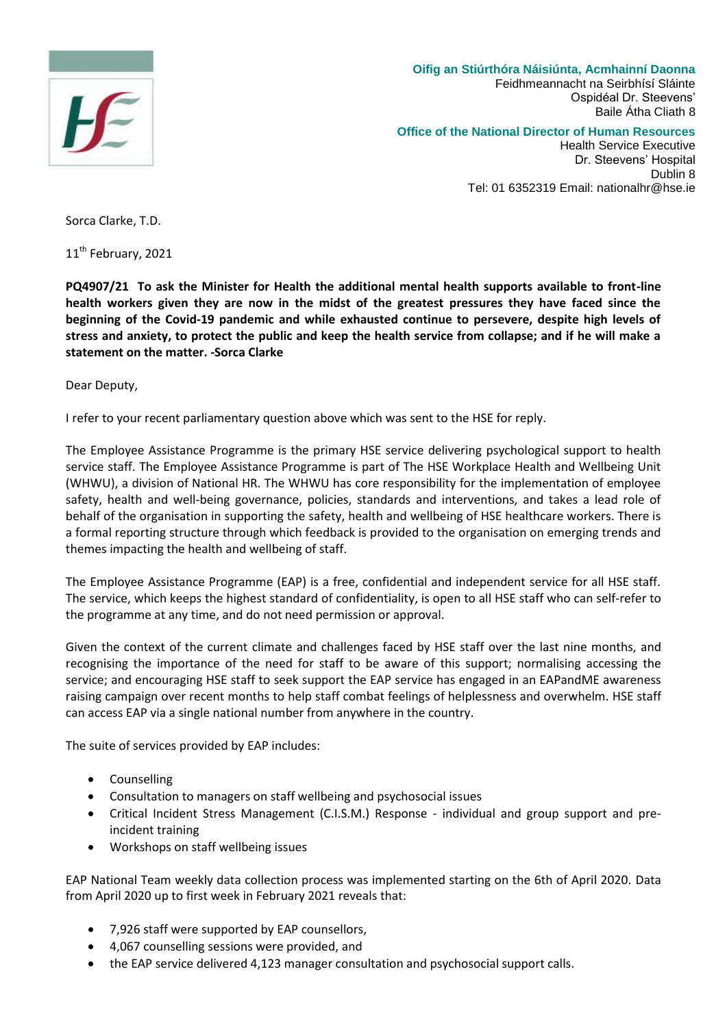

**Oifig an Stiúrthóra Náisiúnta, Acmhainní Daonna** Feidhmeannacht na Seirbhísí Sláinte Ospidéal Dr. Steevens' Baile Átha Cliath 8

## **Office of the National Director of Human Resources**

Health Service Executive Dr. Steevens' Hospital Dublin 8 Tel: 01 6352319 Email: nationalhr@hse.ie

Sorca Clarke, T.D.

11<sup>th</sup> February, 2021

**PQ4907/21 To ask the Minister for Health the additional mental health supports available to front-line health workers given they are now in the midst of the greatest pressures they have faced since the beginning of the Covid-19 pandemic and while exhausted continue to persevere, despite high levels of stress and anxiety, to protect the public and keep the health service from collapse; and if he will make a statement on the matter. -Sorca Clarke**

Dear Deputy,

I refer to your recent parliamentary question above which was sent to the HSE for reply.

The Employee Assistance Programme is the primary HSE service delivering psychological support to health service staff. The Employee Assistance Programme is part of The HSE Workplace Health and Wellbeing Unit (WHWU), a division of National HR. The WHWU has core responsibility for the implementation of employee safety, health and well-being governance, policies, standards and interventions, and takes a lead role of behalf of the organisation in supporting the safety, health and wellbeing of HSE healthcare workers. There is a formal reporting structure through which feedback is provided to the organisation on emerging trends and themes impacting the health and wellbeing of staff.

The Employee Assistance Programme (EAP) is a free, confidential and independent service for all HSE staff. The service, which keeps the highest standard of confidentiality, is open to all HSE staff who can self-refer to the programme at any time, and do not need permission or approval.

Given the context of the current climate and challenges faced by HSE staff over the last nine months, and recognising the importance of the need for staff to be aware of this support; normalising accessing the service; and encouraging HSE staff to seek support the EAP service has engaged in an EAPandME awareness raising campaign over recent months to help staff combat feelings of helplessness and overwhelm. HSE staff can access EAP via a single national number from anywhere in the country.

The suite of services provided by EAP includes:

- Counselling
- Consultation to managers on staff wellbeing and psychosocial issues
- Critical Incident Stress Management (C.I.S.M.) Response individual and group support and preincident training
- Workshops on staff wellbeing issues

EAP National Team weekly data collection process was implemented starting on the 6th of April 2020. Data from April 2020 up to first week in February 2021 reveals that:

- 7,926 staff were supported by EAP counsellors,
- 4,067 counselling sessions were provided, and
- the EAP service delivered 4,123 manager consultation and psychosocial support calls.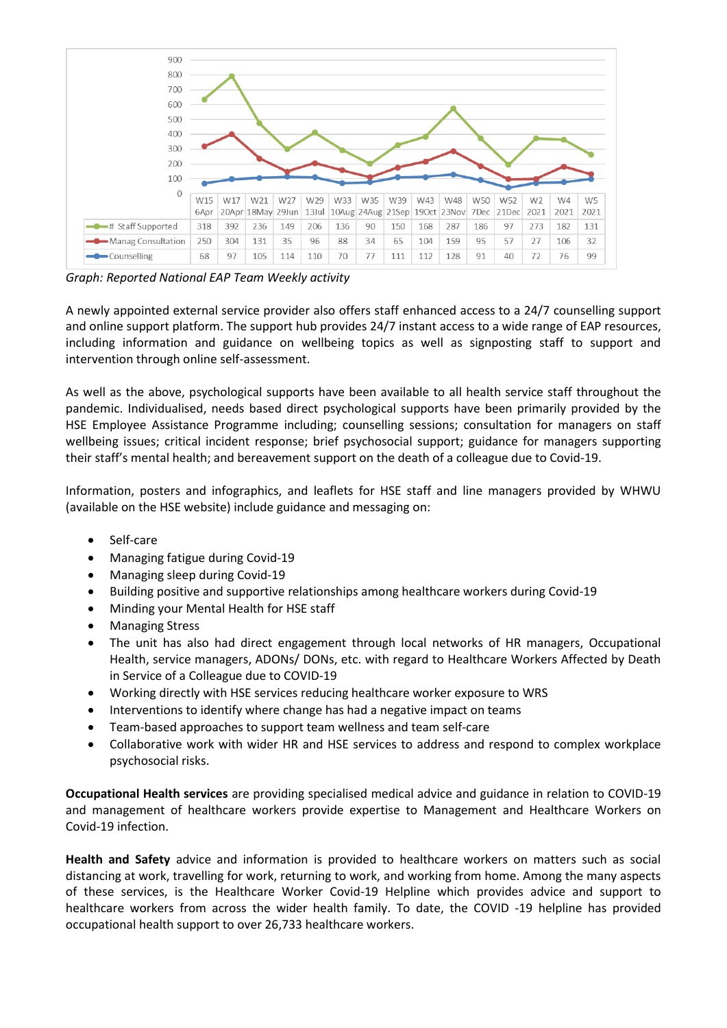

*Graph: Reported National EAP Team Weekly activity*

A newly appointed external service provider also offers staff enhanced access to a 24/7 counselling support and online support platform. The support hub provides 24/7 instant access to a wide range of EAP resources, including information and guidance on wellbeing topics as well as signposting staff to support and intervention through online self-assessment.

As well as the above, psychological supports have been available to all health service staff throughout the pandemic. Individualised, needs based direct psychological supports have been primarily provided by the HSE Employee Assistance Programme including; counselling sessions; consultation for managers on staff wellbeing issues; critical incident response; brief psychosocial support; guidance for managers supporting their staff's mental health; and bereavement support on the death of a colleague due to Covid-19.

Information, posters and infographics, and leaflets for HSE staff and line managers provided by WHWU (available on the HSE website) include guidance and messaging on:

- Self-care
- Managing fatigue during Covid-19
- Managing sleep during Covid-19
- Building positive and supportive relationships among healthcare workers during Covid-19
- Minding your Mental Health for HSE staff
- Managing Stress
- The unit has also had direct engagement through local networks of HR managers, Occupational Health, service managers, ADONs/ DONs, etc. with regard to Healthcare Workers Affected by Death in Service of a Colleague due to COVID-19
- Working directly with HSE services reducing healthcare worker exposure to WRS
- Interventions to identify where change has had a negative impact on teams
- Team-based approaches to support team wellness and team self-care
- Collaborative work with wider HR and HSE services to address and respond to complex workplace psychosocial risks.

**Occupational Health services** are providing specialised medical advice and guidance in relation to COVID-19 and management of healthcare workers provide expertise to Management and Healthcare Workers on Covid-19 infection.

**Health and Safety** advice and information is provided to healthcare workers on matters such as social distancing at work, travelling for work, returning to work, and working from home. Among the many aspects of these services, is the Healthcare Worker Covid-19 Helpline which provides advice and support to healthcare workers from across the wider health family. To date, the COVID -19 helpline has provided occupational health support to over 26,733 healthcare workers.